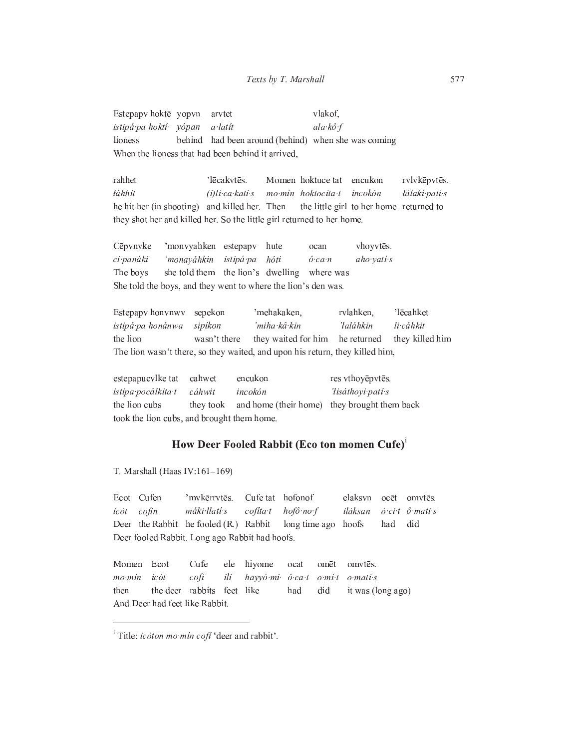Estepapv hoktē yopvn vlakof, arvtet istipá pa hoktí vópan a latít  $ala \times \hat{o} f$ lioness behind had been around (behind) when she was coming When the lioness that had been behind it arrived,

rahhet 'lēcakvtēs. Momen hoktuce tat encukon rvlvkēpvtēs. láhhit  $(i)$ li ca kati s mo mín hoktocíta t incokón łálaki patí s the little girl to her home returned to he hit her (in shooting) and killed her. Then they shot her and killed her. So the little girl returned to her home.

Cēpvnvke 'monvyahken estepapy hute vhoyvtēs. ocan 'monaváhkin ci panáki istipá pa hóti aho yati s  $\hat{o}$  can The boys she told them the lion's dwelling where was She told the boys, and they went to where the lion's den was.

Estepapy honvnwy sepekon 'mehakaken, rvlahken. 'lēcahket istipá pa honánwa sipíkon 'miha kâ kin 'łaláhkin li cáhkit the lion they waited for him he returned they killed him wasn't there The lion wasn't there, so they waited, and upon his return, they killed him,

estepapucvlke tat cahwet encukon res vthoyēpvtēs. istipa pocâlkita t cáhwit incokón 'lisáthovi patí s the lion cubs they took and home (their home) they brought them back took the lion cubs, and brought them home.

## How Deer Fooled Rabbit (Eco ton momen Cufe)<sup>1</sup>

T. Marshall (Haas IV:161-169)

'mykērrytēs Ecot Cufen Cufe tat hofonof elaksyn ocet omytes. cofín máki llatí s  $cofita$ <sup>t</sup>  $hofô\cdot no\cdot f$  $ic\acute{o}t$ iláksan  $\acute{o}$  ci t  $\acute{o}$  mati s Deer the Rabbit he fooled (R.) Rabbit long time ago hoofs had did Deer fooled Rabbit. Long ago Rabbit had hoofs.

Momen Ecot Cufe hiyome omēt omvtēs. ele ocat  $ic\acute{o}t$  $mo·min$ cofí ilí hayyó mi ô ca to mít o mati s then the deer rabbits feet like had did it was (long ago) And Deer had feet like Rabbit.

<sup>&</sup>lt;sup>i</sup> Title: *icóton mo mín cofí* 'deer and rabbit'.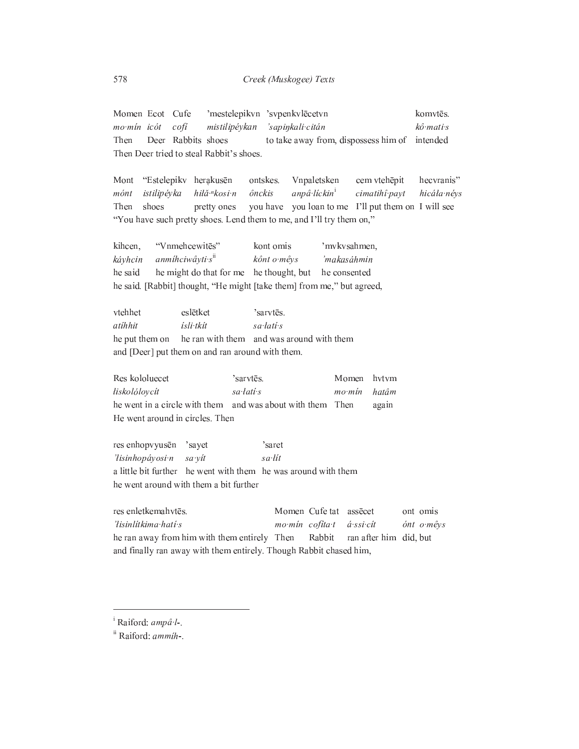'mestelepikvn 'svpenkvlēcetvn komvtēs. Momen Ecot Cufe mo mín icót  $\alpha$ ofí mistilipéykan 'sapinkali citán kô mati s Then Deer Rabbits shoes to take away from, dispossess him of intended Then Deer tried to steal Rabbit's shoes.

Mont "Estelepiky herakusēn ontskes. Vnpaletsken cem vtehēpit hecvranis" istilipéyka hiłă <sup>"</sup>kosi n ônckis anpâ·líckin<sup>i</sup> cimatihî payt hicáła névs mónt you have you loan to me I'll put them on I will see Then shoes pretty ones "You have such pretty shoes. Lend them to me, and I'll try them on,"

"Vnmehcewites" kihcen, kont omis 'mvkvsahmen, kávhcin anmihciwâyti s<sup>ii</sup> 'makasáhmin kônt o mêys he said he might do that for me he thought, but he consented he said. [Rabbit] thought, "He might [take them] from me," but agreed,

vtehhet eslētket 'sarvtēs. atíhhit ísli tkít sa latí s he put them on he ran with them and was around with them and [Deer] put them on and ran around with them.

'sarvtēs. Momen hvtvm Res kololuecet *liskolólovcít* sa latí s  $mo·min$ hatâm he went in a circle with them and was about with them Then again He went around in circles. Then

res enhopvyusēn 'sayet 'saret 'lisinhopáyosi n sa lít sa yit a little bit further he went with them he was around with them he went around with them a bit further

res enletkemahvtēs. Momen Cufe tat assecet ont omis 'hisinlitkima hati s mo min cofita t á ssi cít ónt o mêys he ran away from him with them entirely Then Rabbit ran after him did, but and finally ran away with them entirely. Though Rabbit chased him,

<sup>&</sup>lt;sup>i</sup> Raiford: ampâ l-.

<sup>&</sup>lt;sup>ii</sup> Raiford: ammih-.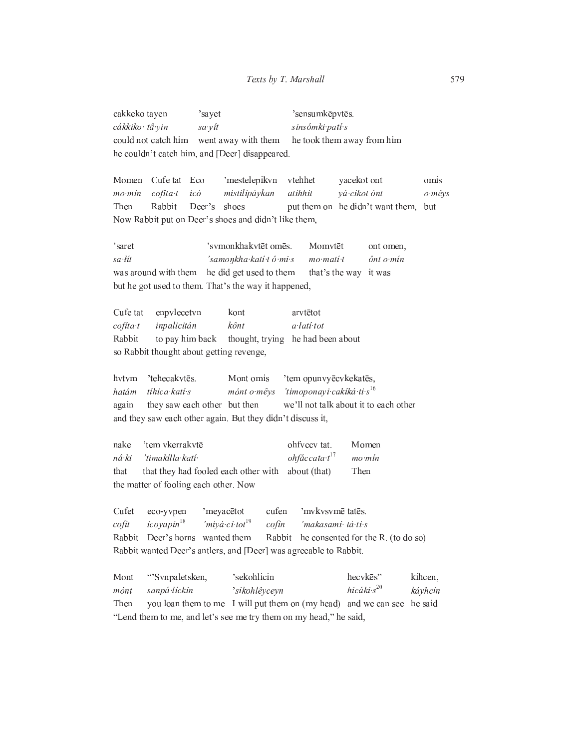'sensumkēpvtēs. cakkeko tayen 'sayet cákkiko tâ vin sa yít sinsómki patí s went away with them he took them away from him could not catch him he couldn't catch him, and [Deer] disappeared.

Momen Cufe tat Eco 'mestelepikvn vtehhet vacekot ont omis  $mo·min$  $cofita$ <sup>t</sup>  $ic\acute{o}$ atihhit vá cikot ónt mistilipáykan o mêys Then Rabbit Deer's shoes put them on he didn't want them, but Now Rabbit put on Deer's shoes and didn't like them,

'saret 'svmonkhakvtēt omēs. Momvtēt ont omen, sa lít 'samonkha kati tô mi s  $mo$   $mati$ <sup> $t$ </sup>  $\hat{o}$ nt o mín was around with them he did get used to them that's the way it was but he got used to them. That's the way it happened,

Cufe tat enpvlecetvn arvtētot kont cofíta t inpalicitán kônt a latí tot he had been about Rabbit to pay him back thought, trying so Rabbit thought about getting revenge,

'tem opunvyēcvkekatēs, hvtvm 'tehecakvtēs. Mont omis tíhica katí s 'timoponavi cakíká ti s<sup>16</sup> hatâm  $m\acute{o}nt$   $o$   $m\acute{e}vs$ they saw each other but then we'll not talk about it to each other again and they saw each other again. But they didn't discuss it,

'tem vkerrakvtē ohfvccv tat. Momen nake 'timakilla kati  $ohf$ áccata· $t^{17}$ nâ ki  $mo·min$ that they had fooled each other with about (that) Then that the matter of fooling each other. Now

'mykysymē tatēs. Cufet eco-yvpen 'meyacētot cufen cofít icoyapín<sup>18</sup> 'miyá ci tot<sup>19</sup> cofín 'makasamí tá ti s Rabbit Deer's horns wanted them Rabbit he consented for the R. (to do so) Rabbit wanted Deer's antlers, and [Deer] was agreeable to Rabbit.

Mont "Svnpaletsken, 'sekohlicin hecykes" kihcen. hicáki  $s^{20}$ mónt sanpâ líckin 'sikohlêyceyn káyhcin you loan them to me I will put them on (my head) and we can see he said Then "Lend them to me, and let's see me try them on my head," he said,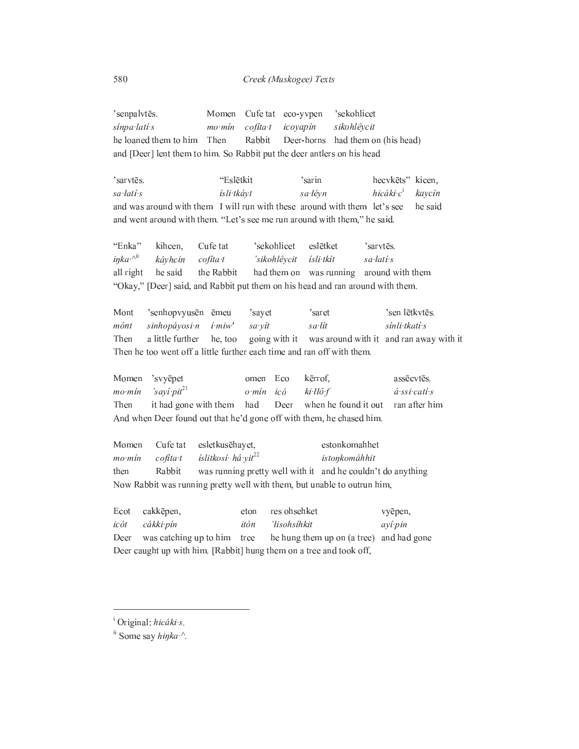#### Creek (Muskogee) Texts

'senpalvtēs. Cufe tat eco-yvpen Momen 'sekohlicet sinpa lati s  $mo·min$  $cofita$ <sup>t</sup> icoyapín sikohlêycit he loaned them to him Then Rabbit Deer-horns had them on (his head) and [Deer] lent them to him. So Rabbit put the deer antlers on his head

"Eslētkit 'sarvtēs. 'sarin hecykets" kicen. sa latí s ísli tkáyt sa lévn hicáki  $c^i$ kaycín and was around with them I will run with these around with them let's see he said and went around with them. "Let's see me run around with them," he said.

"Enka" Cufe tat 'sekohlicet kihcen, eslētket 'sarvtēs.  $i\eta k a^{\mathcal{A}^{i}i}$ káyhcin 'sikohlêycit sa latí s  $cofita t$ ísli tkít all right he said the Rabbit had them on was running around with them "Okay," [Deer] said, and Rabbit put them on his head and ran around with them.

Mont 'senhopvyusēn ēmeu sayet 'saret 'sen lētkvtēs. mónt sinhopáyosi n  $i$   $mi$  $w'$ sa yít sa·lít sínli tkatí s a little further was around with it and ran away with it Then he, too going with it Then he too went off a little further each time and ran off with them.

|                                                                      | Momen 'svyepet                                                    |  |  | omen Eco kerrof.  | assēcvtēs.   |
|----------------------------------------------------------------------|-------------------------------------------------------------------|--|--|-------------------|--------------|
|                                                                      | mo mín $'$ sayî pit <sup>21</sup>                                 |  |  | o mín icó ki llôf | á ssi catí s |
| Then                                                                 | it had gone with them had Deer when he found it out ran after him |  |  |                   |              |
| And when Deer found out that he'd gone off with them, he chased him. |                                                                   |  |  |                   |              |

Cufe tat esletkusēhayet, estonkomahhet Momen íslitkosí hâ yit<sup>22</sup> mo mín  $cofita·t$ istonkomáhhit Rabbit was running pretty well with it and he couldn't do anything then Now Rabbit was running pretty well with them, but unable to outrun him,

res ohsehket Ecot cakkēpen, eton vyēpen, icót cákki pín itón 'lisohsihkit ayî pin he hung them up on (a tree) and had gone Deer was catching up to him tree Deer caught up with him. [Rabbit] hung them on a tree and took off,

<sup>&</sup>lt;sup>i</sup> Original: hicáki s.

<sup>&</sup>lt;sup>ii</sup> Some say *hinka*.<sup>^</sup>.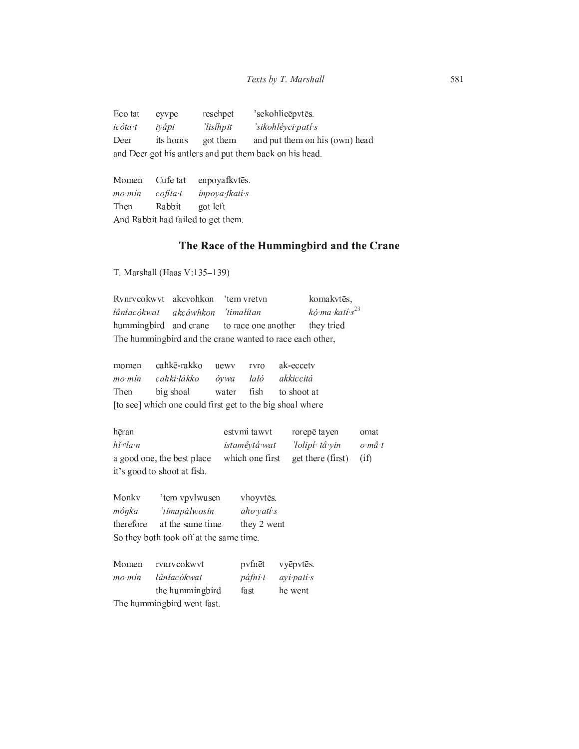Eco tat resehpet 'sekohlicēpvtēs. eyvpe icóta t iyápi 'lisihpit 'sikohléyci patí s Deer its horns got them and put them on his (own) head and Deer got his antlers and put them back on his head.

Momen Cufe tat enpoyafkvtēs.  $mo·min$  $cofita·t$ inpoya fkati s Then Rabbit got left And Rabbit had failed to get them.

# The Race of the Hummingbird and the Crane

T. Marshall (Haas V:135-139)

Rvnrvcokwyt akcyohkon 'tem vretvn komakvtēs, łânłacókwat akcâwhkon 'timalitan kó ma katí s<sup>23</sup> hummingbird and crane to race one another they tried The hummingbird and the crane wanted to race each other,

cahkē-rakko ak-eccetv momen uewy rvro mo mín cahki łákko óywa laló akkiccitá Then big shoal water fish to shoot at [to see] which one could first get to the big shoal where

hēran estvmi tawvt rorepē tayen omat  $h\check{\imath}$ <sup>-n</sup>ła $\cdot$ n istamêytá wat 'łolipí tâ yin o mâ t a good one, the best place which one first get there (first)  $(i f)$ it's good to shoot at fish.

Monky 'tem vpvlwusen vhoyvtēs. mônka 'timapálwosin aho vati s therefore at the same time they 2 went So they both took off at the same time.

|        | Momen rynrycokwyt           |         | pvfnēt vyēpvtēs.  |
|--------|-----------------------------|---------|-------------------|
| mo mín | łânłacókwat                 | páfni t | <i>ayi pati s</i> |
|        | the hummingbird             | fast    | he went           |
|        | The humming bird went fast. |         |                   |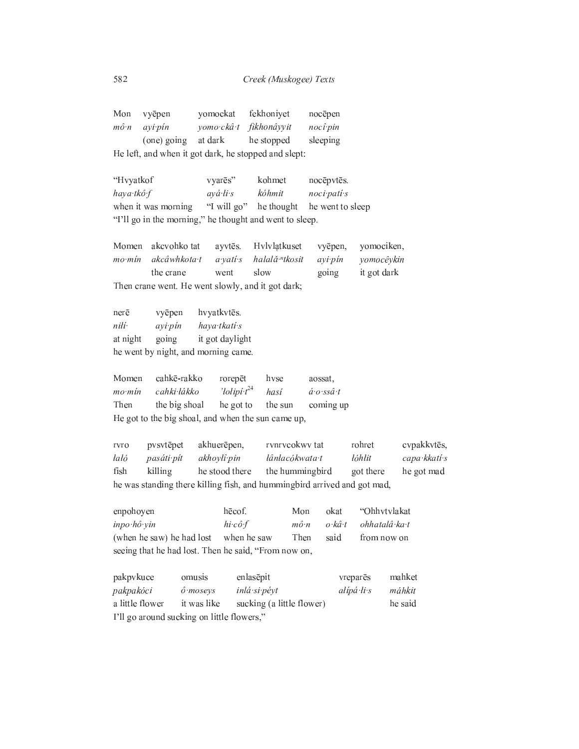|                                                      | Mon vyepen  | yomockat | fekhonivet             | nocēpen  |
|------------------------------------------------------|-------------|----------|------------------------|----------|
| $m\hat{o} \cdot n$                                   | avi pin     |          | yomo ckâ t fikhonâyyit | nocî pin |
|                                                      | (one) going | at dark  | he stopped             | sleeping |
| He left, and when it got dark, he stopped and slept: |             |          |                        |          |

"Hvyatkof vyarēs" kohmet nocēpvtēs. haya tkô f  $a\vec{v}\cdot\vec{a}\cdot\vec{k}\cdot\vec{s}$ kóhmit noci pati s "I will go" when it was morning he thought he went to sleep "I'll go in the morning," he thought and went to sleep.

Momen akcvohko tat ayvtēs. Hvlvlatkuset vyēpen, yomociken, akcâwhkota t halală<sup>.n</sup>tkosit yomocêykin mo mín a yati s ayi pin the crane went slow going it got dark Then crane went. He went slowly, and it got dark;

nerē vyēpen hvyatkvtēs. nilí· ayi pin haya tkati s going it got daylight at night he went by night, and morning came.

Momen cahkē-rakko rorepēt hvse aossat,  $'$ łolipi $t^{24}$  $mo·min$ cahki lákko  $\acute{a}$  o ssâ t hasí Then the big shoal he got to the sun coming up He got to the big shoal, and when the sun came up,

rvnrvcokwy tat rvro pvsvtēpet akhuerēpen, rohret cvpakkvtēs, laló pasáti pít łânłacókwata t  $l\acute{o}hlit$ capa kkati s akhoylî pin fish killing he stood there the hummingbird got there he got mad he was standing there killing fish, and hummingbird arrived and got mad,

hēcof. okat "Ohhvtvlakat enpohoyen Mon ohhatalâ·ka·t inpo hô yin  $hi$   $c\hat{o}$   $f$  $m\hat{o} \cdot n$ o kâ t when he saw Then from now on (when he saw) he had lost said seeing that he had lost. Then he said, "From now on,

| pakpykuce                                  | omusis           | enlasēpit                 | vrepares   | mahket  |  |
|--------------------------------------------|------------------|---------------------------|------------|---------|--|
| pakpakóci                                  | $\hat{o}$ moseys | inlá si pévt              | alípá li s | máhkit  |  |
| a little flower                            | it was like      | sucking (a little flower) |            | he said |  |
| I'll go around sucking on little flowers," |                  |                           |            |         |  |